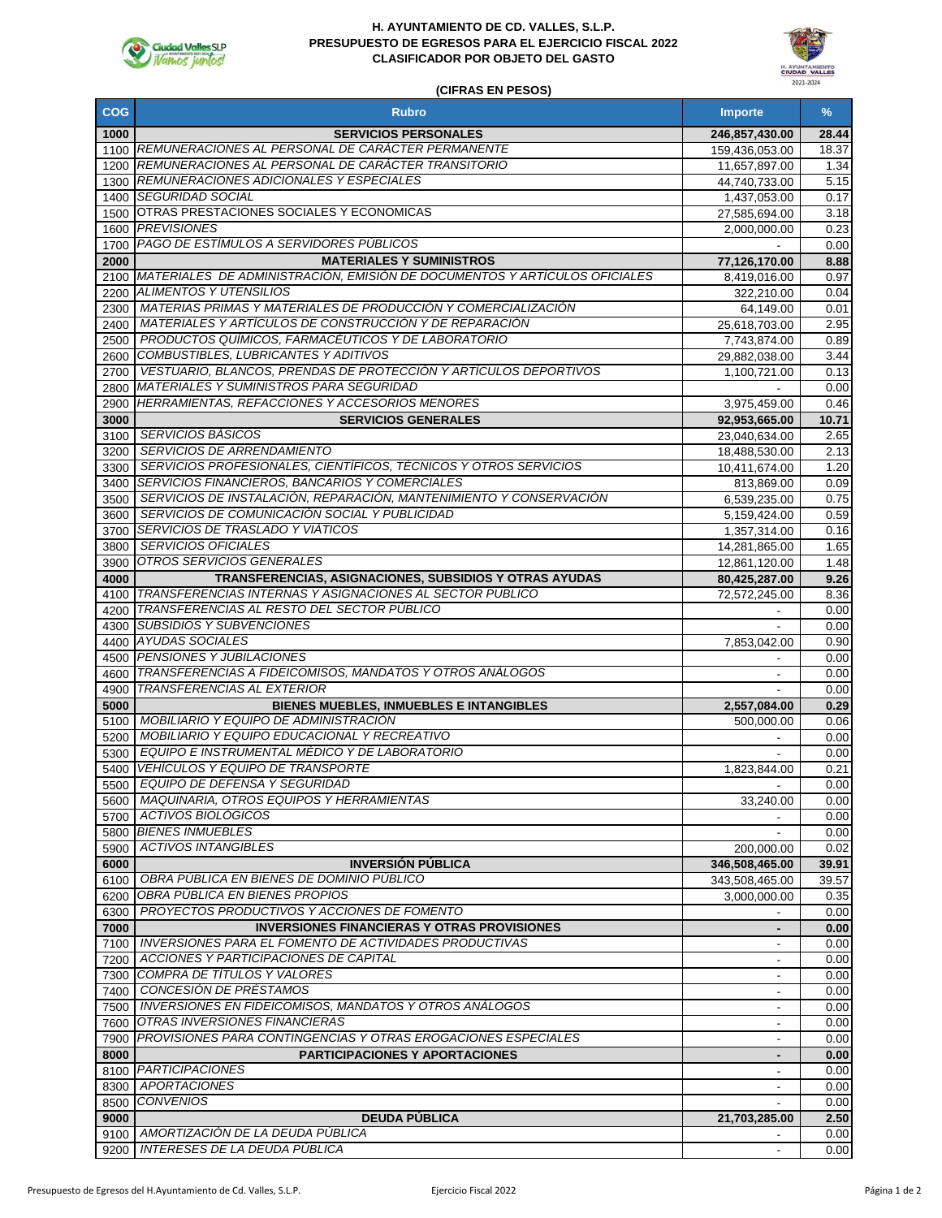

### **H. AYUNTAMIENTO DE CD. VALLES, S.L.P. PRESUPUESTO DE EGRESOS PARA EL EJERCICIO FISCAL 2022 CLASIFICADOR POR OBJETO DEL GASTO**



### **(CIFRAS EN PESOS)**

| <b>COG</b>   | <b>Rubro</b>                                                                                                         | <b>Importe</b>               | $\%$         |
|--------------|----------------------------------------------------------------------------------------------------------------------|------------------------------|--------------|
| 1000         | <b>SERVICIOS PERSONALES</b>                                                                                          | 246,857,430.00               | 28.44        |
|              | 1100 REMUNERACIONES AL PERSONAL DE CARÁCTER PERMANENTE                                                               | 159,436,053.00               | 18.37        |
|              | 1200 REMUNERACIONES AL PERSONAL DE CARÁCTER TRANSITORIO                                                              | 11,657,897.00                | 1.34         |
|              | 1300 REMUNERACIONES ADICIONALES Y ESPECIALES                                                                         | 44,740,733.00                | 5.15         |
|              | 1400 SEGURIDAD SOCIAL                                                                                                | 1,437,053.00                 | 0.17         |
|              | 1500 OTRAS PRESTACIONES SOCIALES Y ECONOMICAS                                                                        | 27,585,694.00                | 3.18         |
|              | 1600 PREVISIONES                                                                                                     | 2,000,000.00                 | 0.23         |
|              | 1700 PAGO DE ESTIMULOS A SERVIDORES PÚBLICOS                                                                         |                              | 0.00         |
| 2000         | <b>MATERIALES Y SUMINISTROS</b><br>2100 MATERIALES DE ADMINISTRACIÓN, EMISIÓN DE DOCUMENTOS Y ARTÍCULOS OFICIALES    | 77,126,170.00                | 8.88<br>0.97 |
|              | 2200 ALIMENTOS Y UTENSILIOS                                                                                          | 8,419,016.00<br>322,210.00   | 0.04         |
| 2300         | MATERIAS PRIMAS Y MATERIALES DE PRODUCCIÓN Y COMERCIALIZACIÓN                                                        | 64,149.00                    | 0.01         |
| 2400         | MATERIALES Y ARTÍCULOS DE CONSTRUCCIÓN Y DE REPARACIÓN                                                               | 25,618,703.00                | 2.95         |
| 2500         | PRODUCTOS QUÍMICOS, FARMACÉUTICOS Y DE LABORATORIO                                                                   | 7,743,874.00                 | 0.89         |
| 2600         | COMBUSTIBLES, LUBRICANTES Y ADITIVOS                                                                                 | 29,882,038.00                | 3.44         |
| 2700         | VESTUARIO, BLANCOS, PRENDAS DE PROTECCIÓN Y ARTÍCULOS DEPORTIVOS                                                     | 1,100,721.00                 | 0.13         |
|              | 2800 MATERIALES Y SUMINISTROS PARA SEGURIDAD                                                                         |                              | 0.00         |
| 2900         | <b>HERRAMIENTAS, REFACCIONES Y ACCESORIOS MENORES</b>                                                                | 3,975,459.00                 | 0.46         |
| 3000         | <b>SERVICIOS GENERALES</b>                                                                                           | 92,953,665.00                | 10.71        |
| 3100         | <b>SERVICIOS BASICOS</b>                                                                                             | 23,040,634.00                | 2.65         |
| 3200         | <b>SERVICIOS DE ARRENDAMIENTO</b>                                                                                    | 18,488,530.00                | 2.13         |
| 3300         | SERVICIOS PROFESIONALES, CIENTÍFICOS, TÉCNICOS Y OTROS SERVICIOS                                                     | 10,411,674.00                | 1.20         |
| 3400         | SERVICIOS FINANCIEROS, BANCARIOS Y COMERCIALES<br>SERVICIOS DE INSTALACIÓN. REPARACIÓN, MANTENIMIENTO Y CONSERVACIÓN | 813,869.00                   | 0.09         |
| 3500         | SERVICIOS DE COMUNICACIÓN SOCIAL Y PUBLICIDAD                                                                        | 6,539,235.00                 | 0.75         |
| 3600<br>3700 | <b>SERVICIOS DE TRASLADO Y VIÁTICOS</b>                                                                              | 5,159,424.00<br>1,357,314.00 | 0.59<br>0.16 |
| 3800         | <b>SERVICIOS OFICIALES</b>                                                                                           | 14,281,865.00                | 1.65         |
| 3900         | OTROS SERVICIOS GENERALES                                                                                            | 12,861,120.00                | 1.48         |
| 4000         | TRANSFERENCIAS, ASIGNACIONES, SUBSIDIOS Y OTRAS AYUDAS                                                               | 80,425,287.00                | 9.26         |
| 4100         | TRANSFERENCIAS INTERNAS Y ASIGNACIONES AL SECTOR PUBLICO                                                             | 72,572,245.00                | 8.36         |
| 4200         | TRANSFERENCIAS AL RESTO DEL SECTOR PUBLICO                                                                           |                              | 0.00         |
|              | 4300 SUBSIDIOS Y SUBVENCIONES                                                                                        |                              | 0.00         |
|              | 4400 AYUDAS SOCIALES                                                                                                 | 7,853,042.00                 | 0.90         |
|              | 4500 PENSIONES Y JUBILACIONES                                                                                        |                              | 0.00         |
| 4600         | TRANSFERENCIAS A FIDEICOMISOS, MANDATOS Y OTROS ANÁLOGOS                                                             |                              | 0.00         |
| 4900         | <b>TRANSFERENCIAS AL EXTERIOR</b>                                                                                    |                              | 0.00         |
| 5000         | <b>BIENES MUEBLES, INMUEBLES E INTANGIBLES</b>                                                                       | 2,557,084.00                 | 0.29         |
| 5100         | MOBILIARIO Y EQUIPO DE ADMINISTRACIÓN<br><b>MOBILIARIO Y EQUIPO EDUCACIONAL Y RECREATIVO</b>                         | 500,000.00                   | 0.06         |
| 5200<br>5300 | EQUIPO E INSTRUMENTAL MÉDICO Y DE LABORATORIO                                                                        |                              | 0.00<br>0.00 |
| 5400         | <b>VEHICULOS Y EQUIPO DE TRANSPORTE</b>                                                                              | 1,823,844.00                 | 0.21         |
| 5500         | EQUIPO DE DEFENSA Y SEGURIDAD                                                                                        |                              | 0.00         |
|              | 5600   MAQUINARIA, OTROS EQUIPOS Y HERRAMIENTAS                                                                      | 33,240.00                    | 0.00         |
| 5700         | ACTIVOS BIOLÓGICOS                                                                                                   |                              | 0.00         |
|              | 5800 BIENES INMUEBLES                                                                                                |                              | 0.00         |
| 5900         | <b>ACTIVOS INTANGIBLES</b>                                                                                           | 200,000.00                   | 0.02         |
| 6000         | <b>INVERSIÓN PÚBLICA</b>                                                                                             | 346,508,465.00               | 39.91        |
| 6100         | OBRA PÚBLICA EN BIENES DE DOMINIO PÚBLICO                                                                            | 343,508,465.00               | 39.57        |
| 6200         | <b>OBRA PUBLICA EN BIENES PROPIOS</b>                                                                                | 3,000,000.00                 | 0.35         |
| 6300         | PROYECTOS PRODUCTIVOS Y ACCIONES DE FOMENTO                                                                          |                              | 0.00         |
| 7000         | <b>INVERSIONES FINANCIERAS Y OTRAS PROVISIONES</b>                                                                   |                              | 0.00         |
| 7100         | <b>INVERSIONES PARA EL FOMENTO DE ACTIVIDADES PRODUCTIVAS</b><br><b>ACCIONES Y PARTICIPACIONES DE CAPITAL</b>        |                              | 0.00         |
| 7200         | 7300 COMPRA DE TÍTULOS Y VALORES                                                                                     |                              | 0.00<br>0.00 |
| 7400         | CONCESIÓN DE PRÉSTAMOS                                                                                               | $\overline{\phantom{a}}$     | 0.00         |
| 7500         | INVERSIONES EN FIDEICOMISOS, MANDATOS Y OTROS ANÁLOGOS                                                               |                              | 0.00         |
| 7600         | OTRAS INVERSIONES FINANCIERAS                                                                                        |                              | 0.00         |
| 7900         | <b>PROVISIONES PARA CONTINGENCIAS Y OTRAS EROGACIONES ESPECIALES</b>                                                 | $\overline{\phantom{a}}$     | 0.00         |
| 8000         | <b>PARTICIPACIONES Y APORTACIONES</b>                                                                                | ٠                            | 0.00         |
|              | 8100 PARTICIPACIONES                                                                                                 |                              | 0.00         |
| 8300         | <b>APORTACIONES</b>                                                                                                  |                              | 0.00         |
| 8500         | <b>CONVENIOS</b>                                                                                                     |                              | 0.00         |
| 9000         | <b>DEUDA PÚBLICA</b>                                                                                                 | 21,703,285.00                | 2.50         |
| 9100         | AMORTIZACIÓN DE LA DEUDA PUBLICA                                                                                     |                              | 0.00         |
| 9200         | INTERESES DE LA DEUDA PÚBLICA                                                                                        |                              | 0.00         |